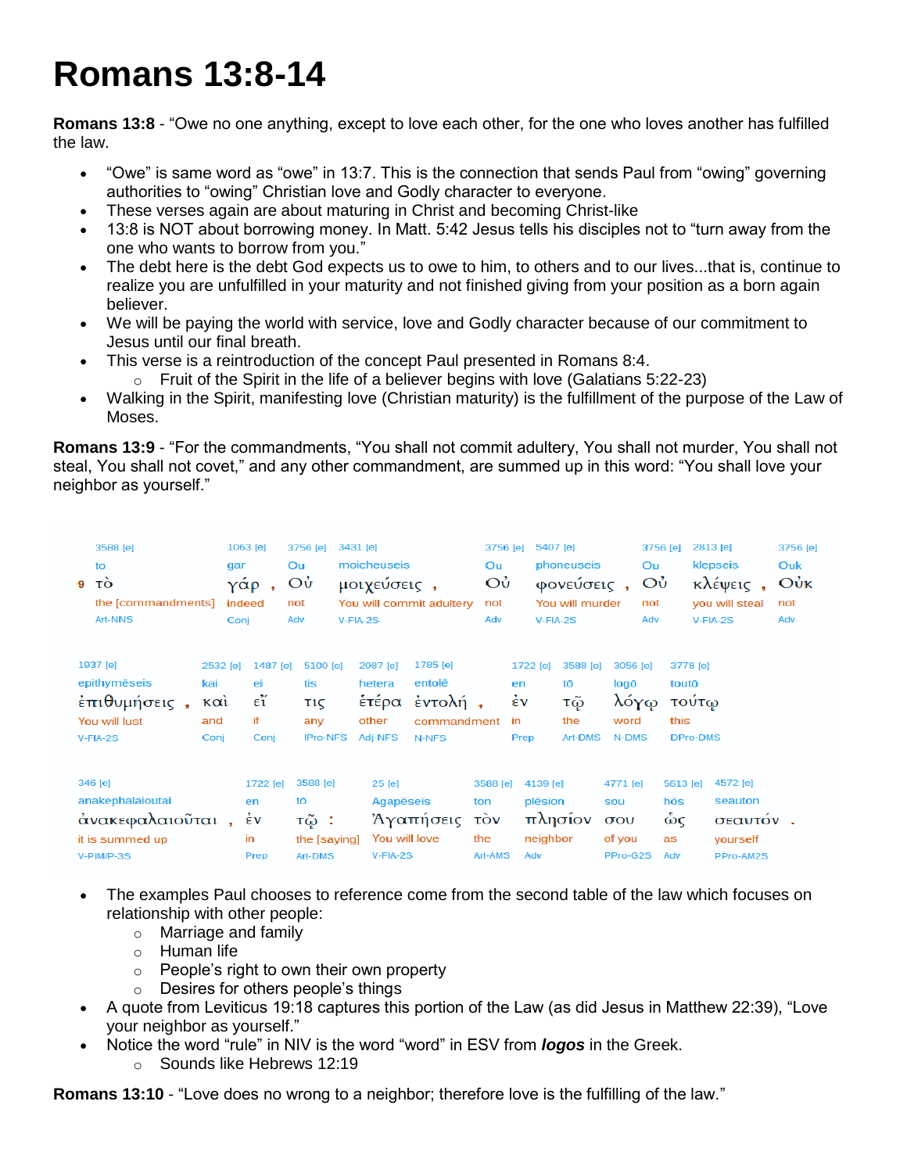## **Romans 13:8-14**

**Romans 13:8** - "Owe no one anything, except to love each other, for the one who loves another has fulfilled the law.

- "Owe" is same word as "owe" in 13:7. This is the connection that sends Paul from "owing" governing authorities to "owing" Christian love and Godly character to everyone.
- These verses again are about maturing in Christ and becoming Christ-like
- 13:8 is NOT about borrowing money. In Matt. 5:42 Jesus tells his disciples not to "turn away from the one who wants to borrow from you."
- The debt here is the debt God expects us to owe to him, to others and to our lives...that is, continue to realize you are unfulfilled in your maturity and not finished giving from your position as a born again believer.
- We will be paying the world with service, love and Godly character because of our commitment to Jesus until our final breath.
- This verse is a reintroduction of the concept Paul presented in Romans 8:4.
	- $\circ$  Fruit of the Spirit in the life of a believer begins with love (Galatians 5:22-23)
- Walking in the Spirit, manifesting love (Christian maturity) is the fulfillment of the purpose of the Law of Moses.

**Romans 13:9** - "For the commandments, "You shall not commit adultery, You shall not murder, You shall not steal, You shall not covet," and any other commandment, are summed up in this word: "You shall love your neighbor as yourself."

| 3588 [e]<br>to<br>9<br>τo<br>the [commandments]<br>Art-NNS                                                                                  | 1063 [e]<br>gar<br>γάρ<br>indeed<br>Conj     | 3431 [e]<br>3756 [e]<br>Ou<br>Οù<br>not<br>Adv<br>$V-FIA-2S$ | moicheuseis<br>μοιχεύσεις,<br>You will commit adultery                                                   | 3756 [e]<br>Ou<br>Οù<br>not<br>Adv                               | 5407 [e]<br>phoneuseis<br>φονεύσεις,<br>You will murder<br>$V-FIA-2S$                                                   | 3756 [e]<br>Ou<br>Οù<br>not<br>Adv                                        | 2813 [e]<br>3756 [e]<br>klepseis<br>Ouk<br>Oůk<br>κλέψεις<br>you will steal<br>not<br>$V-FIA-2S$<br>Adv |
|---------------------------------------------------------------------------------------------------------------------------------------------|----------------------------------------------|--------------------------------------------------------------|----------------------------------------------------------------------------------------------------------|------------------------------------------------------------------|-------------------------------------------------------------------------------------------------------------------------|---------------------------------------------------------------------------|---------------------------------------------------------------------------------------------------------|
| 1937 [e]<br>2532 [e]<br>epithymēseis<br>kai<br>έπιθυμήσεις,<br>$\kappa$ $\alpha$ <sub>i</sub><br>You will lust<br>and<br>$V-FIA-2S$<br>Coni | 1487 [e]<br>ei<br>$\epsilon''$<br>if<br>Coni | 5100 [e]<br>tis<br>τις<br>any<br><b>IPro-NFS</b>             | 1785 [e]<br>2087 [e]<br>entolē<br>hetera<br>ἑτέρα<br>έντολή,<br>other<br>commandment<br>Adi-NFS<br>N-NFS | 1722 [e]<br>en<br>έv<br>in<br>Prep                               | 3588 [e]<br>tō<br>logō<br>τῷ<br>the<br>word<br><b>Art-DMS</b><br>N-DMS                                                  | 3056 [e]<br>3778 [e]<br>touto<br>λόγφ<br>τούτω<br>this<br><b>DPro-DMS</b> |                                                                                                         |
| 346 [e]<br>anakephalaioutai<br>άνακεφαλαιοῦται,<br>it is summed up<br>V-PIM/P-3S                                                            | 1722 [e]<br>en<br>έv<br>in<br>Prep           | 3588 [e]<br>tō<br>τῷ :<br>the [saying]<br><b>Art-DMS</b>     | 25 [e]<br>Agapēseis<br>Άγαπήσεις<br>You will love<br>$V-FIA-2S$                                          | 3588 [e]<br>ton<br>$\vec{\mathrm{row}}$<br>the<br>Art-AMS<br>Adv | 4139 [e]<br>4771 [e]<br>plēsion<br>sou<br>πλησίον<br>$\sigma$ <sub>o</sub> $\upsilon$<br>neighbor<br>of you<br>PPro-G2S | 5613 [e]<br>hōs<br>ώς<br>as<br>Adv                                        | 4572 [e]<br>seauton<br>σεαυτόν.<br>yourself<br>PPro-AM2S                                                |

- The examples Paul chooses to reference come from the second table of the law which focuses on relationship with other people:
	- o Marriage and family
	- o Human life
	- o People's right to own their own property
	- o Desires for others people's things
- A quote from Leviticus 19:18 captures this portion of the Law (as did Jesus in Matthew 22:39), "Love your neighbor as yourself."
- Notice the word "rule" in NIV is the word "word" in ESV from *logos* in the Greek.
	- o Sounds like Hebrews 12:19

**Romans 13:10** - "Love does no wrong to a neighbor; therefore love is the fulfilling of the law."